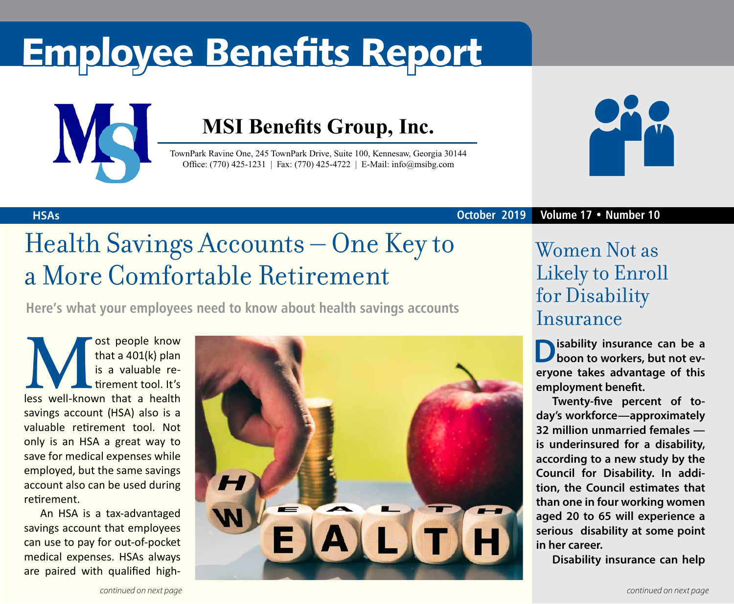# Employee Benefits Report



### **MSI Benefits Group, Inc.**

TownPark Ravine One, 245 TownPark Drive, Suite 100, Kennesaw, Georgia 30144 Office: (770) 425-1231 | Fax: (770) 425-4722 | E-Mail: info@msibg.com



**HSAs October 2019 Volume 17 • Number 10**

## Health Savings Accounts – One Key to a More Comfortable Retirement

**Here's what your employees need to know about health savings accounts**

**Musical State of that a 401(k) plan**<br>
is a valuable re-<br>
tirement tool. It's<br>
less well-known that a health that a 401(k) plan is a valuable retirement tool. It's savings account (HSA) also is a valuable retirement tool. Not only is an HSA a great way to save for medical expenses while employed, but the same savings account also can be used during retirement.

An HSA is a tax-advantaged savings account that employees can use to pay for out-of-pocket medical expenses. HSAs always are paired with qualified high-



### Women Not as Likely to Enroll for Disability Insurance

**Disability insurance can be a boon to workers, but not everyone takes advantage of this employment benefit.**

**Twenty-five percent of today's workforce—approximately 32 million unmarried females is underinsured for a disability, according to a new study by the Council for Disability. In addition, the Council estimates that than one in four working women aged 20 to 65 will experience a serious disability at some point in her career.** 

**Disability insurance can help**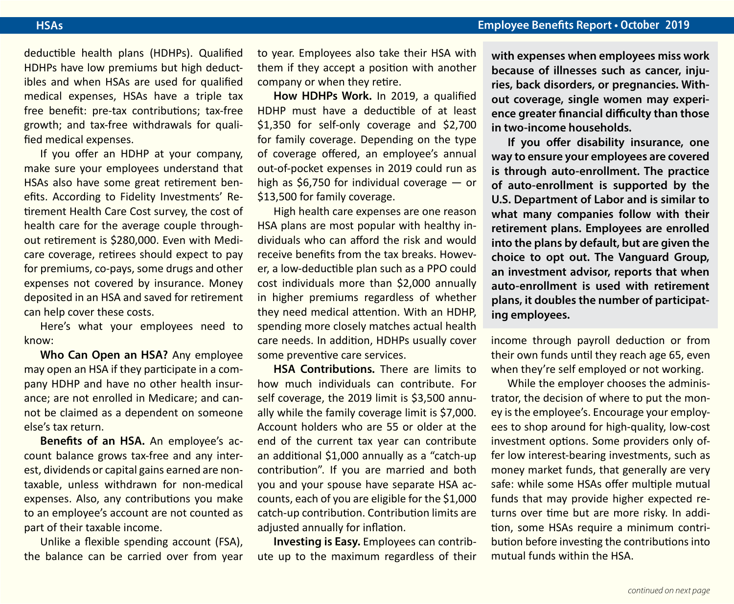#### **HSAs Employee Benefits Report • October 2019**

deductible health plans (HDHPs). Qualified HDHPs have low premiums but high deductibles and when HSAs are used for qualified medical expenses, HSAs have a triple tax free benefit: pre-tax contributions; tax-free growth; and tax-free withdrawals for qualified medical expenses.

If you offer an HDHP at your company, make sure your employees understand that HSAs also have some great retirement benefits. According to Fidelity Investments' Retirement Health Care Cost survey, the cost of health care for the average couple throughout retirement is \$280,000. Even with Medicare coverage, retirees should expect to pay for premiums, co-pays, some drugs and other expenses not covered by insurance. Money deposited in an HSA and saved for retirement can help cover these costs.

Here's what your employees need to know:

**Who Can Open an HSA?** Any employee may open an HSA if they participate in a company HDHP and have no other health insurance; are not enrolled in Medicare; and cannot be claimed as a dependent on someone else's tax return.

**Benefits of an HSA.** An employee's account balance grows tax-free and any interest, dividends or capital gains earned are nontaxable, unless withdrawn for non-medical expenses. Also, any contributions you make to an employee's account are not counted as part of their taxable income.

Unlike a flexible spending account (FSA), the balance can be carried over from year to year. Employees also take their HSA with them if they accept a position with another company or when they retire.

**How HDHPs Work.** In 2019, a qualified HDHP must have a deductible of at least \$1,350 for self-only coverage and \$2,700 for family coverage. Depending on the type of coverage offered, an employee's annual out-of-pocket expenses in 2019 could run as high as \$6,750 for individual coverage — or \$13,500 for family coverage.

High health care expenses are one reason HSA plans are most popular with healthy individuals who can afford the risk and would receive benefits from the tax breaks. However, a low-deductible plan such as a PPO could cost individuals more than \$2,000 annually in higher premiums regardless of whether they need medical attention. With an HDHP, spending more closely matches actual health care needs. In addition, HDHPs usually cover some preventive care services.

**HSA Contributions.** There are limits to how much individuals can contribute. For self coverage, the 2019 limit is \$3,500 annually while the family coverage limit is \$7,000. Account holders who are 55 or older at the end of the current tax year can contribute an additional \$1,000 annually as a "catch-up contribution". If you are married and both you and your spouse have separate HSA accounts, each of you are eligible for the \$1,000 catch-up contribution. Contribution limits are adjusted annually for inflation.

**Investing is Easy.** Employees can contribute up to the maximum regardless of their **with expenses when employees miss work because of illnesses such as cancer, injuries, back disorders, or pregnancies. Without coverage, single women may experience greater financial difficulty than those in two-income households.** 

**If you offer disability insurance, one way to ensure your employees are covered is through auto-enrollment. The practice of auto-enrollment is supported by the U.S. Department of Labor and is similar to what many companies follow with their retirement plans. Employees are enrolled into the plans by default, but are given the choice to opt out. The Vanguard Group, an investment advisor, reports that when auto-enrollment is used with retirement plans, it doubles the number of participating employees.**

income through payroll deduction or from their own funds until they reach age 65, even when they're self employed or not working.

While the employer chooses the administrator, the decision of where to put the money is the employee's. Encourage your employees to shop around for high-quality, low-cost investment options. Some providers only offer low interest-bearing investments, such as money market funds, that generally are very safe: while some HSAs offer multiple mutual funds that may provide higher expected returns over time but are more risky. In addition, some HSAs require a minimum contribution before investing the contributions into mutual funds within the HSA.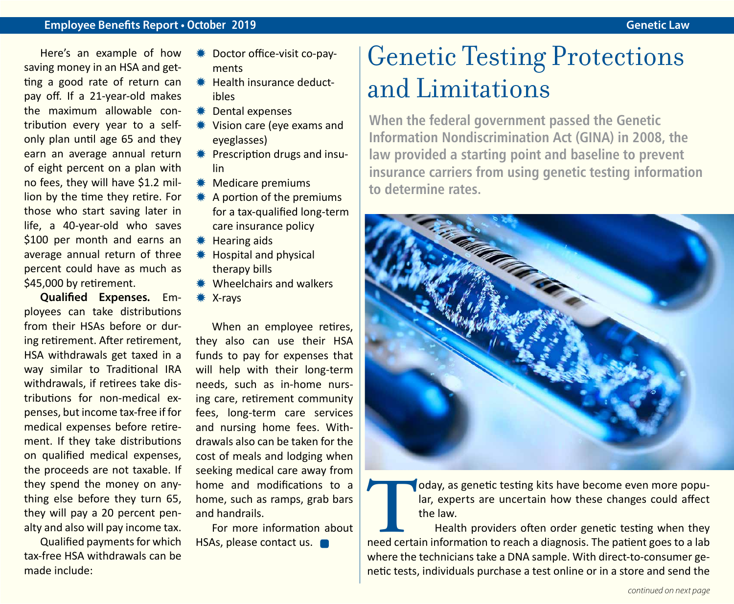Here's an example of how saving money in an HSA and getting a good rate of return can pay off. If a 21-year-old makes the maximum allowable contribution every year to a selfonly plan until age 65 and they earn an average annual return of eight percent on a plan with no fees, they will have \$1.2 million by the time they retire. For those who start saving later in life, a 40-year-old who saves \$100 per month and earns an average annual return of three percent could have as much as \$45,000 by retirement.

**Qualified Expenses.** Employees can take distributions from their HSAs before or during retirement. After retirement, HSA withdrawals get taxed in a way similar to Traditional IRA withdrawals, if retirees take distributions for non-medical expenses, but income tax-free if for medical expenses before retirement. If they take distributions on qualified medical expenses, the proceeds are not taxable. If they spend the money on anything else before they turn 65, they will pay a 20 percent penalty and also will pay income tax.

Qualified payments for which tax-free HSA withdrawals can be made include:

- **\* Doctor office-visit co-pay**ments
- $*$  Health insurance deductibles
- $*$  Dental expenses
- **₩ Vision care (eye exams and** eyeglasses)
- $*$  Prescription drugs and insulin
- $*$  Medicare premiums
- $*$  A portion of the premiums for a tax-qualified long-term care insurance policy
- $*$  Hearing aids
- **\*\*** Hospital and physical therapy bills
- $*$  Wheelchairs and walkers
- $*$  X-rays

When an employee retires, they also can use their HSA funds to pay for expenses that will help with their long-term needs, such as in-home nursing care, retirement community fees, long-term care services and nursing home fees. Withdrawals also can be taken for the cost of meals and lodging when seeking medical care away from home and modifications to a home, such as ramps, grab bars and handrails.

For more information about HSAs, please contact us.

### Genetic Testing Protections and Limitations

**When the federal government passed the Genetic Information Nondiscrimination Act (GINA) in 2008, the law provided a starting point and baseline to prevent insurance carriers from using genetic testing information to determine rates.** 



**Today**, as genetic testing kits have become even more popular, experts are uncertain how these changes could affect the law.<br>Health providers often order genetic testing when they need certain information to reach a diagn lar, experts are uncertain how these changes could affect the law.

Health providers often order genetic testing when they where the technicians take a DNA sample. With direct-to-consumer genetic tests, individuals purchase a test online or in a store and send the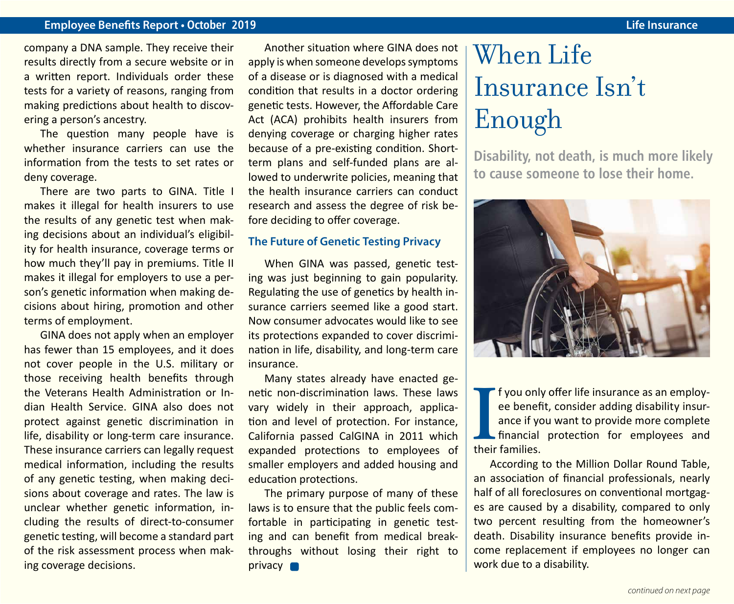#### **Employee Benefits Report • October 2019 Life Insurance**

company a DNA sample. They receive their results directly from a secure website or in a written report. Individuals order these tests for a variety of reasons, ranging from making predictions about health to discovering a person's ancestry.

The question many people have is whether insurance carriers can use the information from the tests to set rates or deny coverage.

There are two parts to GINA. Title I makes it illegal for health insurers to use the results of any genetic test when making decisions about an individual's eligibility for health insurance, coverage terms or how much they'll pay in premiums. Title II makes it illegal for employers to use a person's genetic information when making decisions about hiring, promotion and other terms of employment.

GINA does not apply when an employer has fewer than 15 employees, and it does not cover people in the U.S. military or those receiving health benefits through the Veterans Health Administration or Indian Health Service. GINA also does not protect against genetic discrimination in life, disability or long-term care insurance. These insurance carriers can legally request medical information, including the results of any genetic testing, when making decisions about coverage and rates. The law is unclear whether genetic information, including the results of direct-to-consumer genetic testing, will become a standard part of the risk assessment process when making coverage decisions.

Another situation where GINA does not apply is when someone develops symptoms of a disease or is diagnosed with a medical condition that results in a doctor ordering genetic tests. However, the Affordable Care Act (ACA) prohibits health insurers from denying coverage or charging higher rates because of a pre-existing condition. Shortterm plans and self-funded plans are allowed to underwrite policies, meaning that the health insurance carriers can conduct research and assess the degree of risk before deciding to offer coverage.

#### **The Future of Genetic Testing Privacy**

When GINA was passed, genetic testing was just beginning to gain popularity. Regulating the use of genetics by health insurance carriers seemed like a good start. Now consumer advocates would like to see its protections expanded to cover discrimination in life, disability, and long-term care insurance.

Many states already have enacted genetic non-discrimination laws. These laws vary widely in their approach, application and level of protection. For instance, California passed CalGINA in 2011 which expanded protections to employees of smaller employers and added housing and education protections.

The primary purpose of many of these laws is to ensure that the public feels comfortable in participating in genetic testing and can benefit from medical breakthroughs without losing their right to privacy **n** 

### When Life Insurance Isn't Enough

**Disability, not death, is much more likely to cause someone to lose their home.**



**I**<br>their f you only offer life insurance as an employee benefit, consider adding disability insurance if you want to provide more complete financial protection for employees and their families.

According to the Million Dollar Round Table, an association of financial professionals, nearly half of all foreclosures on conventional mortgages are caused by a disability, compared to only two percent resulting from the homeowner's death. Disability insurance benefits provide income replacement if employees no longer can work due to a disability.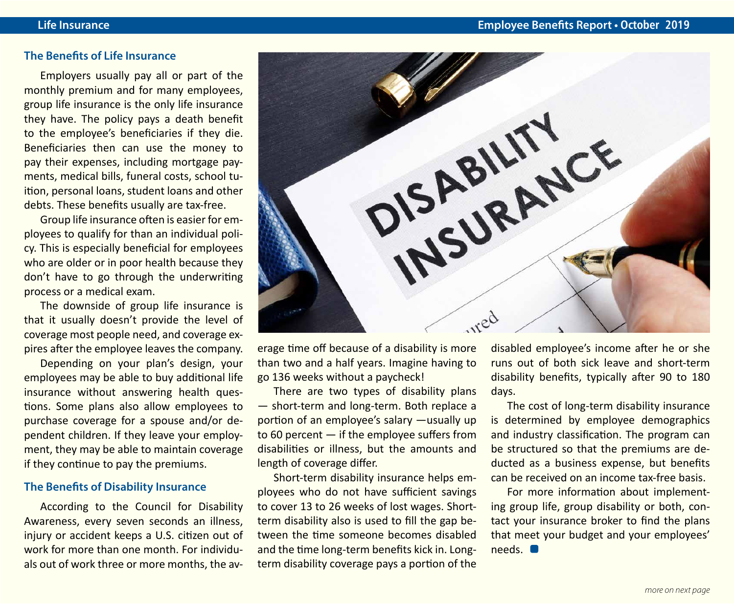### **The Benefits of Life Insurance**

Employers usually pay all or part of the monthly premium and for many employees, group life insurance is the only life insurance they have. The policy pays a death benefit to the employee's beneficiaries if they die. Beneficiaries then can use the money to pay their expenses, including mortgage payments, medical bills, funeral costs, school tuition, personal loans, student loans and other debts. These benefits usually are tax-free.

Group life insurance often is easier for employees to qualify for than an individual policy. This is especially beneficial for employees who are older or in poor health because they don't have to go through the underwriting process or a medical exam.

The downside of group life insurance is that it usually doesn't provide the level of coverage most people need, and coverage expires after the employee leaves the company.

Depending on your plan's design, your employees may be able to buy additional life insurance without answering health questions. Some plans also allow employees to purchase coverage for a spouse and/or dependent children. If they leave your employment, they may be able to maintain coverage if they continue to pay the premiums.

### **The Benefits of Disability Insurance**

According to the Council for Disability Awareness, every seven seconds an illness, injury or accident keeps a U.S. citizen out of work for more than one month. For individuals out of work three or more months, the av-



erage time off because of a disability is more than two and a half years. Imagine having to go 136 weeks without a paycheck!

There are two types of disability plans — short-term and long-term. Both replace a portion of an employee's salary —usually up to 60 percent — if the employee suffers from disabilities or illness, but the amounts and length of coverage differ.

Short-term disability insurance helps employees who do not have sufficient savings to cover 13 to 26 weeks of lost wages. Shortterm disability also is used to fill the gap between the time someone becomes disabled and the time long-term benefits kick in. Longterm disability coverage pays a portion of the disabled employee's income after he or she runs out of both sick leave and short-term disability benefits, typically after 90 to 180 days.

The cost of long-term disability insurance is determined by employee demographics and industry classification. The program can be structured so that the premiums are deducted as a business expense, but benefits can be received on an income tax-free basis.

For more information about implementing group life, group disability or both, contact your insurance broker to find the plans that meet your budget and your employees' needs.